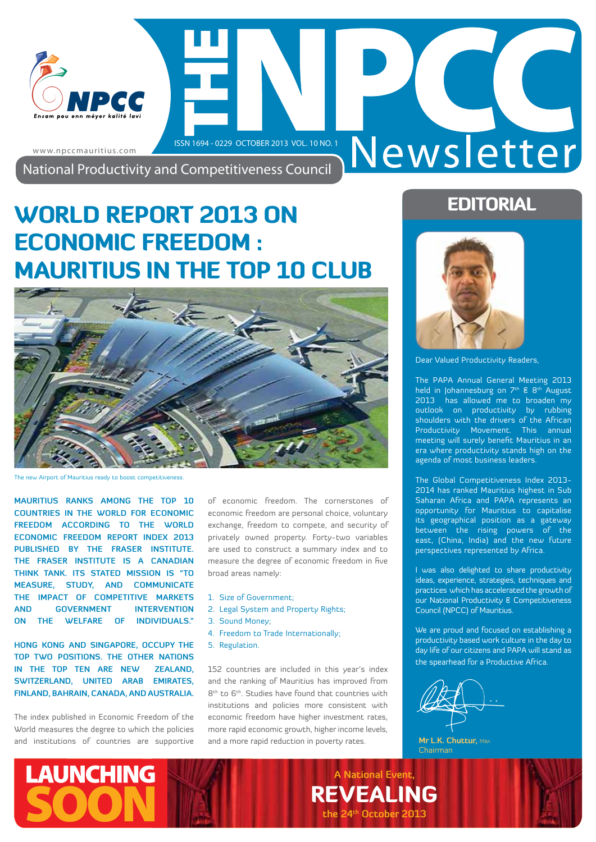

National Productivity and Competitiveness Council

### WORLD REPORT 2013 ON ECONOMIC FREEDOM : MAURITIUS IN THE TOP 10 CLUB



The new Airport of Mauritius ready to boost competitiveness.

**MAURITIUS RANKS AMONG THE TOP 10 COUNTRIES IN THE WORLD FOR ECONOMIC FREEDOM ACCORDING TO THE WORLD ECONOMIC FREEDOM REPORT INDEX 2013 PUBLISHED BY THE FRASER INSTITUTE. THE FRASER INSTITUTE IS A CANADIAN THINK TANK. ITS STATED MISSION IS "TO MEASURE, STUDY, AND COMMUNICATE THE IMPACT OF COMPETITIVE MARKETS AND GOVERNMENT INTERVENTION ON THE WELFARE OF INDIVIDUALS."**

**HONG KONG AND SINGAPORE, OCCUPY THE TOP TWO POSITIONS. THE OTHER NATIONS IN THE TOP TEN ARE NEW ZEALAND, SWITZERLAND, UNITED ARAB EMIRATES, FINLAND, BAHRAIN, CANADA, AND AUSTRALIA.**

The index published in Economic Freedom of the World measures the degree to which the policies and institutions of countries are supportive

**LAUNCHING** 

of economic freedom. The cornerstones of economic freedom are personal choice, voluntary exchange, freedom to compete, and security of privately owned property. Forty-two variables are used to construct a summary index and to measure the degree of economic freedom in five broad areas namely:

- 1. Size of Government;
- 2. Legal System and Property Rights;
- 3. Sound Money;
- 4. Freedom to Trade Internationally;
- 5. Regulation.

152 countries are included in this year's index and the ranking of Mauritius has improved from 8<sup>th</sup> to 6<sup>th</sup>. Studies have found that countries with institutions and policies more consistent with economic freedom have higher investment rates, more rapid economic growth, higher income levels, and a more rapid reduction in poverty rates.

# EDITORIAL



Newsletter

Dear Valued Productivity Readers,

The PAPA Annual General Meeting 2013 held in Johannesburg on  $7<sup>th</sup>$  &  $8<sup>th</sup>$  August 2013 has allowed me to broaden my outlook on productivity by rubbing shoulders with the drivers of the African Productivity Movement. This annual meeting will surely benefit Mauritius in an era where productivity stands high on the agenda of most business leaders.

The Global Competitiveness Index 2013- 2014 has ranked Mauritius highest in Sub Saharan Africa and PAPA represents an opportunity for Mauritius to capitalise its geographical position as a gateway between the rising powers of the east, (China, India) and the new future perspectives represented by Africa.

I was also delighted to share productivity ideas, experience, strategies, techniques and practices which has accelerated the growth of our National Productivity & Competitiveness Council (NPCC) of Mauritius.

We are proud and focused on establishing a productivity based work culture in the day to day life of our citizens and PAPA will stand as the spearhead for a Productive Africa.



**Mr L.K. Chuttur,** MBA Chairman

REVEALING **the 24th October 2013**

**A National Event,**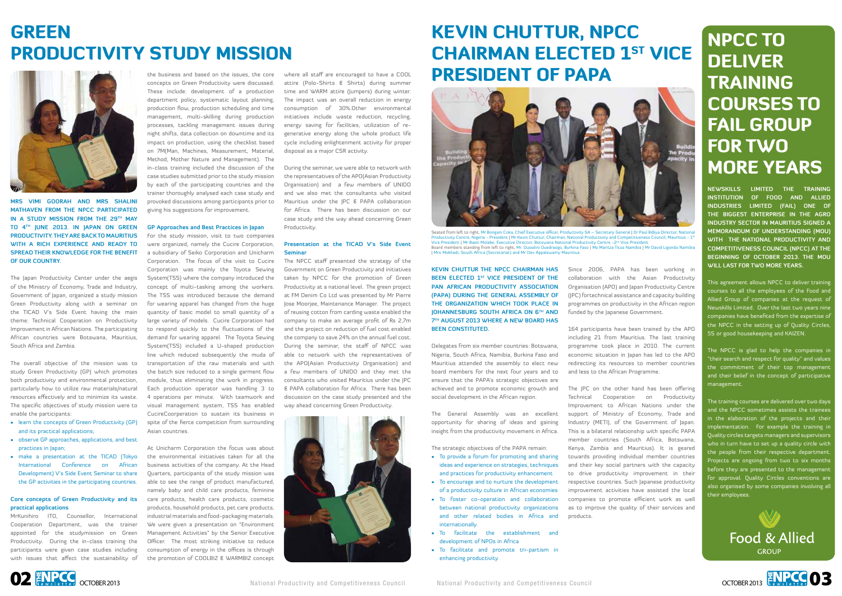**MRS VIMI GOORAH AND MRS SHALINI MATHAVEN FROM THE NPCC PARTICIPATED**  IN A STUDY MISSION FROM THE 29<sup>TH</sup> MAY **TO 4TH JUNE 2013. IN JAPAN ON GREEN PRODUCTIVITY. THEY ARE BACK TO MAURITIUS WITH A RICH EXPERIENCE AND READY TO SPREAD THEIR KNOWLEDGE FOR THE BENEFIT OF OUR COUNTRY.**

The Japan Productivity Center under the aegis of the Ministry of Economy, Trade and Industry, Government of Japan, organized a study mission Green Productivity along with a seminar on the TICAD V's Side Event having the main theme: Technical Cooperation on Productivity Improvement in African Nations. The participating African countries were Botswana, Mauritius, South Africa and Zambia.

The overall objective of the mission was to study Green Productivity (GP) which promotes both productivity and environmental protection, particularly how to utilize raw materials/natural resources effectively and to minimize its waste. The specific objectives of study mission were to enable the participants:

- • learn the concepts of Green Productivity (GP) and its practical applications;
- observe GP approaches, applications, and best. practices in Japan;
- • make a presentation at the TICAD (Tokyo International Conference on African Development) V's Side Event Seminar to share the GP activities in the participating countries.

### **Core concepts of Green Productivity and its practical applications**

MrKunihiro ITO, Counsellor, International Cooperation Department, was the trainer appointed for the studymission on Green Productivity. During the in-class training the participants were given case studies including with issues that affect the sustainability of



### **GP Approaches and Best Practices in Japan**

For the study mission, visit to two companies were organized, namely the Cucire Corporation, a subsidiary of Seiko Corporation and Unicharm Corporation. The focus of the visit to Cucire Corporation was mainly the Toyota Sewing System(TSS) where the company introduced the concept of multi-tasking among the workers. The TSS was introduced because the demand for wearing apparel has changed from the huge quantity of basic model to small quantity of a large variety of models. Cucire Corporation had to respond quickly to the fluctuations of the demand for wearing apparel. The Toyota Sewing System(TSS) included a U-shaped production line which reduced subsequently the muda of transportation of the raw materials and with the batch size reduced to a single garment flow module, thus eliminating the work in progress. Each production operator was handling 3 to 4 operations per minute. With teamwork and visual management system, TSS has enabled CucireCoorperation to sustain its business in spite of the fierce competition from surrounding Asian countries.

At Unicharm Corporation the focus was about the environmental initiatives taken for all the business activities of the company. At the Head Quarters, participants of the study mission was able to see the range of product manufactured, namely baby and child care products, feminine care products, health care products, cosmetic products, household products, pet care products, industrial materials and food-packaging materials. We were given a presentation on "Environment Management Activities" by the Senior Executive Officer. The most striking initiative to reduce consumption of energy in the offices is through the promotion of COOLBIZ & WARMBIZ concept



Seated from left to right, Mr Bongani Coka, Chief Executive officer, Productivity SA – Secretary General | Dr Paul Bdliya Director, National Pria - President | Mr Kevin Chuttur, Chairman, National Productivity and Con Vice President | Mr Baeti Molake, Executive Director, Botswana National Productivity Centre -2nd Vice President Board members standing from left to right, Mr. Ousséini Ouedraogo, Burkina Faso | Ms Maritza Titus Namibia | Mr David Ligonda Namibia<br>| Mrs Mokhadi, South Africa (Secretariat) and Mr Dev Appalswamy Mauritius

where all staff are encouraged to have a COOL attire (Polo-Shirts & Shirts) during summer time and WARM attire (Jumpers) during winter. The impact was an overall reduction in energy consumption of 30%.Other environmental initiatives include waste reduction, recycling, energy saving for facilities, utilization of regenerative energy along the whole product life cycle including enlightenment activity for proper disposal as a major CSR activity.

During the seminar, we were able to network with the representatives of the APO(Asian Productivity Organisation) and a few members of UNIDO and we also met the consultants who visited Mauritius under the JPC & PAPA collaboration for Africa. There has been discussion on our case study and the way ahead concerning Green Productivity.

### **Presentation at the TICAD V's Side Event Seminar**

The NPCC staff presented the strategy of the Government on Green Productivity and initiatives taken by NPCC for the promotion of Green Productivity at a national level. The green project at FM Denim Co Ltd was presented by Mr Pierre Jose Moorjee, Maintenance Manager. The project of reusing cotton from carding waste enabled the company to make an average profit of Rs 2,7m and the project on reduction of fuel cost enabled the company to save 24% on the annual fuel cost. During the seminar, the staff of NPCC was able to network with the representatives of the APO(Asian Productivity Organisation) and a few members of UNIDO and they met the consultants who visited Mauritius under the JPC & PAPA collaboration for Africa. There has been discussion on the case study presented and the way ahead concerning Green Productivity.



**KEVIN CHUTTUR THE NPCC CHAIRMAN HAS BEEN ELECTED 1ST VICE PRESIDENT OF THE PAN AFRICAN PRODUCTIVITY ASSOCIATION (PAPA) DURING THE GENERAL ASSEMBLY OF THE ORGANIZATION WHICH TOOK PLACE IN JOHANNESBURG SOUTH AFRICA ON 6TH AND 7TH AUGUST 2013 WHERE A NEW BOARD HAS BEEN CONSTITUTED.**

Delegates from six member countries: Botswana, Nigeria, South Africa, Namibia, Burkina Faso and Mauritius attended the assembly to elect new board members for the next four years and to ensure that the PAPA's strategic objectives are achieved and to promote economic growth and social development in the African region.

The General Assembly was an excellent opportunity for sharing of ideas and gaining insight from the productivity movement in Africa.

The strategic objectives of the PAPA remain:

- • To provide a forum for promoting and sharing ideas and experience on strategies, techniques and practices for productivity enhancement
- • To encourage and to nurture the development of a productivity culture in African economies
- • To foster co-operation and collaboration between national productivity organizations and other related bodies in Africa and internationally.
- • To facilitate the establishment and development of NPOs in Africa
- • To facilitate and promote tri-partism in enhancing productivity

Since 2006, PAPA has been working in collaboration with the Asian Productivity Organisation (APO) and Japan Productivity Centre (JPC) fortechnical assistance and capacity building programmes on productivity in the African region funded by the Japanese Government.

164 participants have been trained by the APO including 21 from Mauritius. The last training programme took place in 2010. The current economic situation in Japan has led to the APO redirecting its resources to member countries and less to the African Programme.

The JPC on the other hand has been offering Technical Cooperation on Productivity Improvement to African Nations under the support of Ministry of Economy, Trade and Industry (METI), of the Government of Japan. This is a bilateral relationship with specific PAPA member countries (South Africa, Botswana, Kenya, Zambia and Mauritius). It is geared towards providing individual member countries and their key social partners with the capacity to drive productivity improvement in their respective countries. Such Japanese productivity improvement activities have assisted the local companies to promote efficient work as well as to improve the quality of their services and products.

## GREEN PRODUCTIVITY STUDY MISSION



# KEVIN CHUTTUR, NPCC CHAIRMAN ELECTED 1ST VICE PRESIDENT OF PAPA



**NEWSKILLS LIMITED THE TRAINING INSTITUTION OF FOOD AND ALLIED INDUSTRIES LIMITED (FAIL) ONE OF THE BIGGEST ENTERPRISE IN THE AGRO INDUSTRY SECTOR IN MAURITIUS SIGNED A MEMORANDUM OF UNDERSTANDING (MOU) WITH THE NATIONAL PRODUCTIVITY AND COMPETITIVENESS COUNCIL (NPCC) AT THE BEGINNING OF OCTOBER 2013. THE MOU WILL LAST FOR TWO MORE YEARS.**

This agreement allows NPCC to deliver training courses to all the employees of the Food and Allied Group of companies at the request of Newskills Limited. Over the last two years nine companies have benefited from the expertise of the NPCC in the setting up of Quality Circles, 5S or good housekeeping and KAIZEN.

The NPCC is glad to help the companies in "their search and respect for quality" and values the commitment of their top management and their belief in the concept of participative management.

The training courses are delivered over two days and the NPCC sometimes assists the trainees in the elaboration of the projects and their implementation. For example the training in Quality circles targets managers and supervisors who in turn have to set up a quality circle with the people from their respective department. Projects are ongoing from two to six months before they are presented to the management for approval. Quality Circles conventions are also organised by some companies involving all their employees.





# NPCC TO DELIVER TRAINING COURSES TO FAIL GROUP FOR TWO MORE YEARS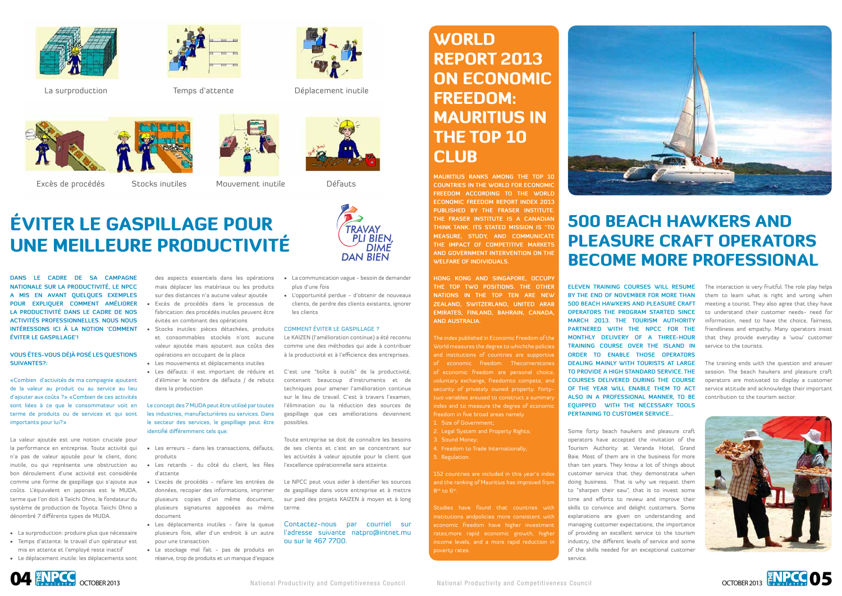

**DANS LE CADRE DE SA CAMPAGNE NATIONALE SUR LA PRODUCTIVITÉ, LE NPCC A MIS EN AVANT QUELQUES EXEMPLES POUR EXPLIQUER COMMENT AMÉLIORER LA PRODUCTIVITÉ DANS LE CADRE DE NOS ACTIVITÉS PROFESSIONNELLES. NOUS NOUS INTÉRESSONS ICI À LA NOTION 'COMMENT**  • Stocks inutiles: pièces détachées, produits **ÉVITER LE GASPILLAGE'!**

### **VOUS ÊTES-VOUS DÉJÀ POSÉ LES QUESTIONS SUIVANTES?:**

«Combien d'activités de ma compagnie ajoutent de la valeur au produit ou au service au lieu d'ajouter aux coûts ?» «Combien de ces activités sont liées à ce que le consommateur voit en terme de produits ou de services et qui sont importants pour lui?»

La valeur ajoutée est une notion cruciale pour la performance en entreprise. Toute activité qui n'a pas de valeur ajoutée pour le client, donc inutile, ou qui représente une obstruction au bon déroulement d'une activité est considérée comme une forme de gaspillage qui s'ajoute aux • L'excès de procédés - refaire les entrées de coûts. L'équivalent en japonais est le MUDA, terme que l'on doit à Taiichi Ohno, le fondateur du système de production de Toyota. Taiichi Ohno a dénombré 7 différents types de MUDA.

- • La surproduction: produire plus que nécessaire
- • Temps d'attente: le travail d'un opérateur est
- mis en attente et l'employé reste inactif
- • Le déplacement inutile: les déplacements sont

**04 ENPCC** OCTOBER 2013

évités en combinant des opérations

et consommables stockés n'ont aucune valeur ajoutée mais ajoutent aux coûts des

opérations en occupant de la place • Les mouvements et déplacements inutiles • Les défauts: il est important de réduire et d'éliminer le nombre de défauts / de rebuts

dans la production

Le concept des 7 MUDA peut être utilisé par toutes les industries, manufacturières ou services. Dans le secteur des services, le gaspillage peut être



identifié différemment tels que:

sur des distances n'a aucune valeur ajoutée • Excès de procédés dans le processus de fabrication: des procédés inutiles peuvent être • L'opportunité perdue - d'obtenir de nouveaux clients, de perdre des clients existants, ignorer les clients

• Les erreurs - dans les transactions, défauts,

produits

• Les retards - du côté du client, les files

d'attente

données, recopier des informations, imprimer plusieurs copies d'un même document, plusieurs signatures apposées au même

document

• Les déplacements inutiles - faire la queue plusieurs fois, aller d'un endroit à un autre

pour une transaction

• Le stockage mal fait - pas de produits en réserve, trop de produits et un manque d'espace

### COMMENT ÉVITER LE GASPILLAGE ?

Le KAIZEN (l'amélioration continue) a été reconnu comme une des méthodes qui aide à contribuer à la productivité et à l'efficience des entreprises.

C'est une "boîte à outils" de la productivité, contenant beaucoup d'instruments et de techniques pour amener l'amélioration continue sur le lieu de travail. C'est à travers l'examen, l'élimination ou la réduction des sources de gaspillage que ces améliorations deviennent possibles.

Toute entreprise se doit de connaître les besoins de ses clients et c'est en se concentrant sur les activités à valeur ajoutée pour le client que l'excellence opérationnelle sera atteinte.

> 152 countries are included in this year's index and the ranking of Mauritius has improved from 8<sup>th</sup> to 6<sup>th</sup>

Le NPCC peut vous aider à identifier les sources de gaspillage dans votre entreprise et à mettre sur pied des projets KAIZEN à moyen et à long terme.

### Contactez-nous par courriel sur l'adresse suivante natpro@intnet.mu ou sur le 467 7700.

## **WORLD** REPORT 2013 ON ECONOMIC FREEDOM: MAURITIUS IN THE TOP 10 **CLUB**

**ELEVEN TRAINING COURSES WILL RESUME BY THE END OF NOVEMBER FOR MORE THAN 500 BEACH HAWKERS AND PLEASURE CRAFT OPERATORS THE PROGRAM STARTED SINCE MARCH 2013. THE TOURISM AUTHORITY PARTNERED WITH THE NPCC FOR THE MONTHLY DELIVERY OF A THREE-HOUR TRAINING COURSE OVER THE ISLAND IN ORDER TO ENABLE THOSE OPERATORS DEALING MAINLY WITH TOURISTS AT LARGE TO PROVIDE A HIGH STANDARD SERVICE. THE COURSES DELIVERED DURING THE COURSE OF THE YEAR WILL ENABLE THEM TO ACT ALSO IN A PROFESSIONAL MANNER, TO BE EQUIPPED WITH THE NECESSARY TOOLS PERTAINING TO CUSTOMER SERVICE…** 

Some forty beach hawkers and pleasure craft operators have accepted the invitation of the Tourism Authority at Veranda Hotel, Grand Baie. Most of them are in the business for more than ten years. They know a lot of things about customer service that they demonstrate when doing business. That is why we request them to "sharpen their saw", that is to invest some time and efforts to review and improve their skills to convince and delight customers. Some explanations are given on understanding and managing customer expectations, the importance of providing an excellent service to the tourism industry, the different levels of service and some of the skills needed for an exceptional customer service.



The interaction is very fruitful. The role play helps them to learn what is right and wrong when meeting a tourist. They also agree that they have to understand their customer needs- need for information, need to have the choice, fairness, friendliness and empathy. Many operators insist that they provide everyday a 'wow' customer service to the tourists.

The training ends with the question and answer session. The beach hawkers and pleasure craft operators are motivated to display a customer service attitude and acknowledge their important contribution to the tourism sector.



## 500 BEACH HAWKERS AND PLEASURE CRAFT OPERATORS BECOME MORE PROFESSIONAL



La surproduction

Excès de procédés











Déplacement inutile



Défauts

TRAVAY

**DAN BIEN** 

PLI BIEN,<br>DIME

**MAURITIUS RANKS AMONG THE TOP 10 COUNTRIES IN THE WORLD FOR ECONOMIC FREEDOM ACCORDING TO THE WORLD ECONOMIC FREEDOM REPORT INDEX 2013 PUBLISHED BY THE FRASER INSTITUTE. THE FRASER INSTITUTE IS A CANADIAN THINK TANK. ITS STATED MISSION IS "TO MEASURE, STUDY, AND COMMUNICATE THE IMPACT OF COMPETITIVE MARKETS AND GOVERNMENT INTERVENTION ON THE WELFARE OF INDIVIDUALS.**

**HONG KONG AND SINGAPORE, OCCUPY THE TOP TWO POSITIONS. THE OTHER NATIONS IN THE TOP TEN ARE NEW ZEALAND, SWITZERLAND, UNITED ARAB EMIRATES, FINLAND, BAHRAIN, CANADA, AND AUSTRALIA.**

The index published in Economic Freedom of the World measures the degree to whichthe policies and institutions of countries are supportive of economic freedom. Thecornerstones of economic freedom are personal choice, voluntary exchange, freedomto compete, and security of privately owned property. Fortytwo variables areused to construct a summary index and to measure the degree of economic freedom in five broad areas namely

- 1. Size of Government;
- 2. Legal System and Property Rights;
- 3. Sound Money;
- 4. Freedom to Trade Internationally;
- 5. Regulation.

Studies have found that countries with institutions andpolicies more consistent with economic freedom have higher investment rates,more rapid economic growth, higher income levels, and a more rapid reduction in poverty rates.



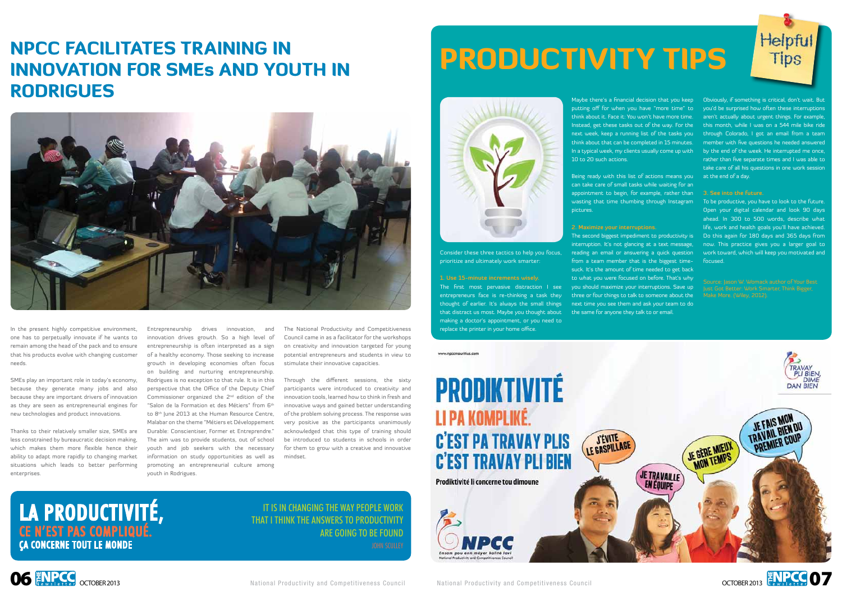

## NPCC FACILITATES TRAINING IN INNOVATION FOR SMEs AND YOUTH IN RODRIGUES



# PRODUCTIVITY TIPS



In the present highly competitive environment, one has to perpetually innovate if he wants to remain among the head of the pack and to ensure that his products evolve with changing customer needs.

SMEs play an important role in today's economy, because they generate many jobs and also because they are important drivers of innovation as they are seen as entrepreneurial engines for new technologies and product innovations.

Thanks to their relatively smaller size, SMEs are less constrained by bureaucratic decision making, which makes them more flexible hence their ability to adapt more rapidly to changing market situations which leads to better performing enterprises.

> **IT IS IN CHANGING THE WAY PEOPLE WORK** THAT I THINK THE ANSWERS TO PRODUCTIVITY

Entrepreneurship drives innovation, and innovation drives growth. So a high level of entrepreneurship is often interpreted as a sign of a healthy economy. Those seeking to increase growth in developing economies often focus on building and nurturing entrepreneurship. Rodrigues is no exception to that rule. It is in this perspective that the Office of the Deputy Chief Commissioner organized the 2<sup>nd</sup> edition of the "Salon de la Formation et des Métiers" from 6th to 8<sup>th</sup> June 2013 at the Human Resource Centre, Malabar on the theme "Métiers et Développement very positive as the participants unanimously Durable: Conscientiser, Former et Entreprendre." The aim was to provide students, out of school youth and job seekers with the necessary information on study opportunities as well as promoting an entrepreneurial culture among youth in Rodrigues.

The National Productivity and Competitiveness Council came in as a facilitator for the workshops on creativity and innovation targeted for young potential entrepreneurs and students in view to stimulate their innovative capacities.

Through the different sessions, the sixty participants were introduced to creativity and innovation tools, learned how to think in fresh and innovative ways and gained better understanding of the problem solving process. The response was acknowledged that this type of training should be introduced to students in schools in order for them to grow with a creative and innovative mindset.

ARE GOING TO BE FOUND



LA PRODUCTIVITÉ,

CE N'EST PAS COMPLIQUÉ.

ÇA CONCERNE TOUT LE MONDE

Consider these three tactics to help you focus, prioritize and ultimately work smarter:

### **1. Use 15-minute increments wisely.**

www.naccmauritius.com

The first most pervasive distraction I see entrepreneurs face is re-thinking a task they thought of earlier. It's always the small things that distract us most. Maybe you thought about making a doctor's appointment, or you need to replace the printer in your home office.

**PRODIKTIVITĖ** LI PA KOMPLIKÉ. **C'EST PA TRAVAY PLIS C'EST TRAVAY PLI BIEN** 



Prodiktivité li concerne tou dimoune



Maybe there's a financial decision that you keep putting off for when you have "more time" to think about it. Face it: You won't have more time. Instead, get these tasks out of the way. For the next week, keep a running list of the tasks you think about that can be completed in 15 minutes. In a typical week, my clients usually come up with

10 to 20 such actions.

Being ready with this list of actions means you can take care of small tasks while waiting for an appointment to begin, for example, rather than wasting that time thumbing through Instagram

pictures.

### **2. Maximize your interruptions.**

The second biggest impediment to productivity is interruption. It's not glancing at a text message, reading an email or answering a quick question from a team member that is the biggest timesuck. It's the amount of time needed to get back to what you were focused on before. That's why you should maximize your interruptions. Save up three or four things to talk to someone about the next time you see them and ask your team to do the same for anyone they talk to or email.

Obviously, if something is critical, don't wait. But you'd be surprised how often these interruptions aren't actually about urgent things. For example, this month, while I was on a 544 mile bike ride through Colorado, I got an email from a team member with five questions he needed answered by the end of the week. He interrupted me once, rather than five separate times and I was able to take care of all his questions in one work session at the end of a day.

**Helpful** 

**Tips** 

### **3. See into the future.**

To be productive, you have to look to the future. Open your digital calendar and look 90 days ahead. In 300 to 500 words, describe what life, work and health goals you'll have achieved. Do this again for 180 days and 365 days from now. This practice gives you a larger goal to work toward, which will keep you motivated and focused.

Just Got Better: Work Smarter, Think Bigger,